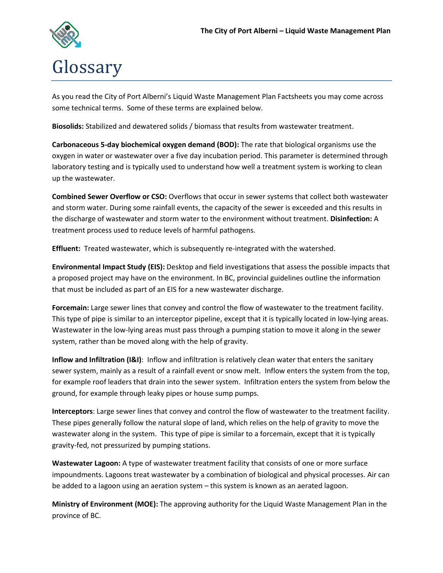

As you read the City of Port Alberni's Liquid Waste Management Plan Factsheets you may come across some technical terms. Some of these terms are explained below.

**Biosolids:** Stabilized and dewatered solids / biomass that results from wastewater treatment.

**Carbonaceous 5-day biochemical oxygen demand (BOD):** The rate that biological organisms use the oxygen in water or wastewater over a five day incubation period. This parameter is determined through laboratory testing and is typically used to understand how well a treatment system is working to clean up the wastewater.

**Combined Sewer Overflow or CSO:** Overflows that occur in sewer systems that collect both wastewater and storm water. During some rainfall events, the capacity of the sewer is exceeded and this results in the discharge of wastewater and storm water to the environment without treatment. **Disinfection:** A treatment process used to reduce levels of harmful pathogens.

**Effluent:** Treated wastewater, which is subsequently re-integrated with the watershed.

**Environmental Impact Study (EIS):** Desktop and field investigations that assess the possible impacts that a proposed project may have on the environment. In BC, provincial guidelines outline the information that must be included as part of an EIS for a new wastewater discharge.

**Forcemain:** Large sewer lines that convey and control the flow of wastewater to the treatment facility. This type of pipe is similar to an interceptor pipeline, except that it is typically located in low-lying areas. Wastewater in the low-lying areas must pass through a pumping station to move it along in the sewer system, rather than be moved along with the help of gravity.

**Inflow and Infiltration (I&I)**: Inflow and infiltration is relatively clean water that enters the sanitary sewer system, mainly as a result of a rainfall event or snow melt. Inflow enters the system from the top, for example roof leaders that drain into the sewer system. Infiltration enters the system from below the ground, for example through leaky pipes or house sump pumps.

**Interceptors**: Large sewer lines that convey and control the flow of wastewater to the treatment facility. These pipes generally follow the natural slope of land, which relies on the help of gravity to move the wastewater along in the system. This type of pipe is similar to a forcemain, except that it is typically gravity-fed, not pressurized by pumping stations.

**Wastewater Lagoon:** A type of wastewater treatment facility that consists of one or more surface impoundments. Lagoons treat wastewater by a combination of biological and physical processes. Air can be added to a lagoon using an aeration system – this system is known as an aerated lagoon.

**Ministry of Environment (MOE):** The approving authority for the Liquid Waste Management Plan in the province of BC.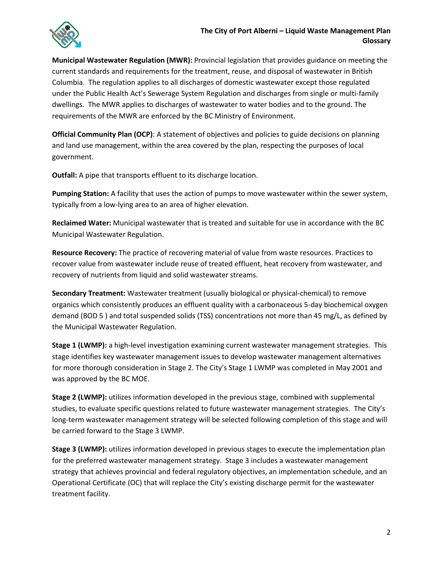

**Municipal Wastewater Regulation (MWR):** Provincial legislation that provides guidance on meeting the current standards and requirements for the treatment, reuse, and disposal of wastewater in British Columbia. The regulation applies to all discharges of domestic wastewater except those regulated under the Public Health Act's Sewerage System Regulation and discharges from single or multi-family dwellings. The MWR applies to discharges of wastewater to water bodies and to the ground. The requirements of the MWR are enforced by the BC Ministry of Environment.

**Official Community Plan (OCP)**: A statement of objectives and policies to guide decisions on planning and land use management, within the area covered by the plan, respecting the purposes of local government.

**Outfall:** A pipe that transports effluent to its discharge location.

**Pumping Station:** A facility that uses the action of pumps to move wastewater within the sewer system, typically from a low-lying area to an area of higher elevation.

**Reclaimed Water:** Municipal wastewater that is treated and suitable for use in accordance with the BC Municipal Wastewater Regulation.

**Resource Recovery:** The practice of recovering material of value from waste resources. Practices to recover value from wastewater include reuse of treated effluent, heat recovery from wastewater, and recovery of nutrients from liquid and solid wastewater streams.

**Secondary Treatment:** Wastewater treatment (usually biological or physical-chemical) to remove organics which consistently produces an effluent quality with a carbonaceous 5-day biochemical oxygen demand (BOD 5 ) and total suspended solids (TSS) concentrations not more than 45 mg/L, as defined by the Municipal Wastewater Regulation.

**Stage 1 (LWMP):** a high-level investigation examining current wastewater management strategies. This stage identifies key wastewater management issues to develop wastewater management alternatives for more thorough consideration in Stage 2. The City's Stage 1 LWMP was completed in May 2001 and was approved by the BC MOE.

**Stage 2 (LWMP):** utilizes information developed in the previous stage, combined with supplemental studies, to evaluate specific questions related to future wastewater management strategies. The City's long-term wastewater management strategy will be selected following completion of this stage and will be carried forward to the Stage 3 LWMP.

**Stage 3 (LWMP):** utilizes information developed in previous stages to execute the implementation plan for the preferred wastewater management strategy. Stage 3 includes a wastewater management strategy that achieves provincial and federal regulatory objectives, an implementation schedule, and an Operational Certificate (OC) that will replace the City's existing discharge permit for the wastewater treatment facility.